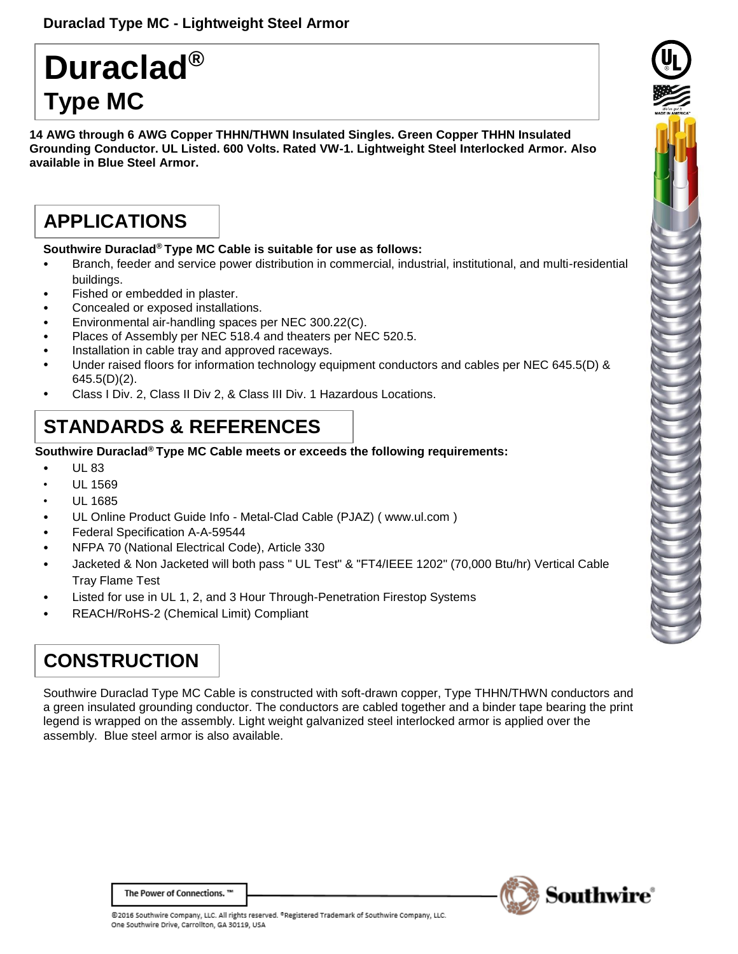# **Duraclad® Type MC**

**14 AWG through 6 AWG Copper THHN/THWN Insulated Singles. Green Copper THHN Insulated Grounding Conductor. UL Listed. 600 Volts. Rated VW-1. Lightweight Steel Interlocked Armor. Also available in Blue Steel Armor.**

### **APPLICATIONS**

#### **Southwire Duraclad® Type MC Cable is suitable for use as follows:**

- Branch, feeder and service power distribution in commercial, industrial, institutional, and multi-residential buildings.
- Fished or embedded in plaster.
- Concealed or exposed installations.
- Environmental air-handling spaces per NEC 300.22(C).
- Places of Assembly per NEC 518.4 and theaters per NEC 520.5.
- Installation in cable tray and approved raceways.
- Under raised floors for information technology equipment conductors and cables per NEC 645.5(D) &  $645.5(D)(2)$ .
- Class I Div. 2, Class II Div 2, & Class III Div. 1 Hazardous Locations.

### **STANDARDS & REFERENCES**

#### **Southwire Duraclad® Type MC Cable meets or exceeds the following requirements:**

- UL 83
- UL 1569
- UL 1685
- UL Online Product Guide Info [Metal-Clad Cable \(PJAZ\) \( www.ul.com](http://www.ul.com/) )
- Federal Specification A-A-59544
- NFPA 70 (National Electrical Code), Article 330
- Jacketed & Non Jacketed will both pass " UL Test" & "FT4/IEEE 1202" (70,000 Btu/hr) Vertical Cable Tray Flame Test
- Listed for use in UL 1, 2, and 3 Hour Through-Penetration Firestop Systems
- REACH/RoHS-2 (Chemical Limit) Compliant

## **CONSTRUCTION**

Southwire Duraclad Type MC Cable is constructed with soft-drawn copper, Type THHN/THWN conductors and a green insulated grounding conductor. The conductors are cabled together and a binder tape bearing the print legend is wrapped on the assembly. Light weight galvanized steel interlocked armor is applied over the assembly. Blue steel armor is also available.





The Power of Connections. ™

@2016 Southwire Company, LLC. All rights reserved. <sup>o</sup>Registered Trademark of Southwire Company, LLC. One Southwire Drive, Carrollton, GA 30119, USA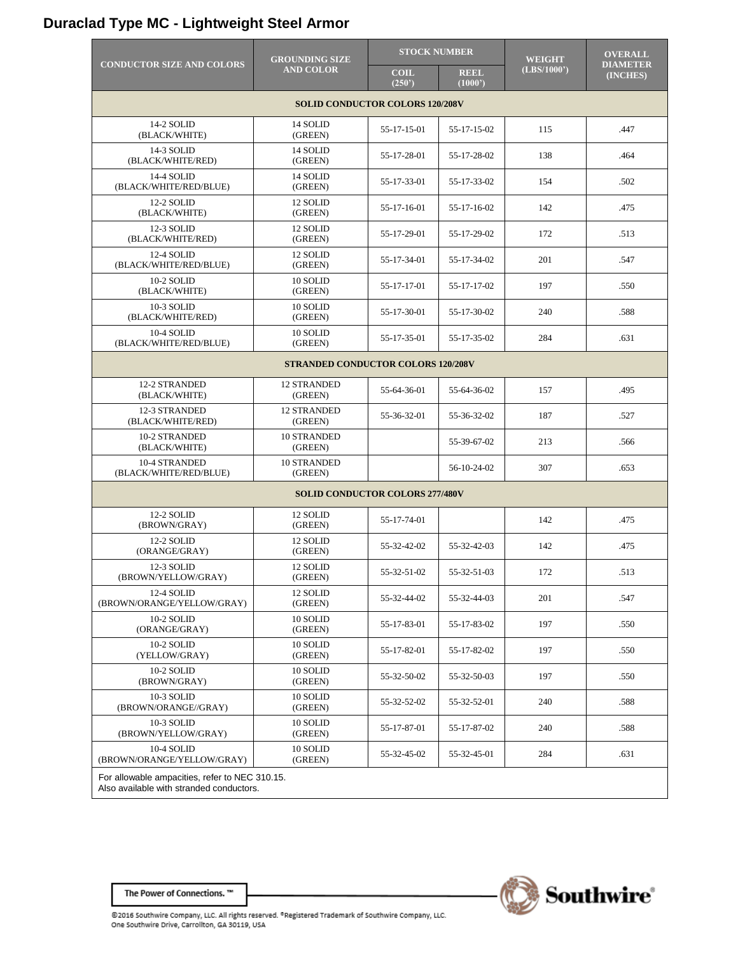### **Duraclad Type MC - Lightweight Steel Armor**

|                                                                                            | <b>GROUNDING SIZE</b><br><b>AND COLOR</b> | <b>STOCK NUMBER</b>  |                       | <b>WEIGHT</b> | <b>OVERALL</b>              |  |  |
|--------------------------------------------------------------------------------------------|-------------------------------------------|----------------------|-----------------------|---------------|-----------------------------|--|--|
| <b>CONDUCTOR SIZE AND COLORS</b>                                                           |                                           | <b>COIL</b><br>(250) | <b>REEL</b><br>(1000) | (LBS/1000')   | <b>DIAMETER</b><br>(INCHES) |  |  |
| <b>SOLID CONDUCTOR COLORS 120/208V</b>                                                     |                                           |                      |                       |               |                             |  |  |
| 14-2 SOLID<br>(BLACK/WHITE)                                                                | 14 SOLID<br>(GREEN)                       | 55-17-15-01          | 55-17-15-02           | 115           | .447                        |  |  |
| 14-3 SOLID<br>(BLACK/WHITE/RED)                                                            | 14 SOLID<br>(GREEN)                       | 55-17-28-01          | 55-17-28-02           | 138           | .464                        |  |  |
| 14-4 SOLID<br>(BLACK/WHITE/RED/BLUE)                                                       | 14 SOLID<br>(GREEN)                       | 55-17-33-01          | 55-17-33-02           | 154           | .502                        |  |  |
| 12-2 SOLID<br>(BLACK/WHITE)                                                                | 12 SOLID<br>(GREEN)                       | 55-17-16-01          | 55-17-16-02           | 142           | .475                        |  |  |
| 12-3 SOLID<br>(BLACK/WHITE/RED)                                                            | 12 SOLID<br>(GREEN)                       | 55-17-29-01          | 55-17-29-02           | 172           | .513                        |  |  |
| 12-4 SOLID<br>(BLACK/WHITE/RED/BLUE)                                                       | 12 SOLID<br>(GREEN)                       | 55-17-34-01          | 55-17-34-02           | 201           | .547                        |  |  |
| 10-2 SOLID<br>(BLACK/WHITE)                                                                | 10 SOLID<br>(GREEN)                       | 55-17-17-01          | 55-17-17-02           | 197           | .550                        |  |  |
| 10-3 SOLID<br>(BLACK/WHITE/RED)                                                            | 10 SOLID<br>(GREEN)                       | 55-17-30-01          | 55-17-30-02           | 240           | .588                        |  |  |
| 10-4 SOLID<br>(BLACK/WHITE/RED/BLUE)                                                       | 10 SOLID<br>(GREEN)                       | 55-17-35-01          | 55-17-35-02           | 284           | .631                        |  |  |
| <b>STRANDED CONDUCTOR COLORS 120/208V</b>                                                  |                                           |                      |                       |               |                             |  |  |
| 12-2 STRANDED<br>(BLACK/WHITE)                                                             | <b>12 STRANDED</b><br>(GREEN)             | 55-64-36-01          | 55-64-36-02           | 157           | .495                        |  |  |
| 12-3 STRANDED<br>(BLACK/WHITE/RED)                                                         | <b>12 STRANDED</b><br>(GREEN)             | 55-36-32-01          | 55-36-32-02           | 187           | .527                        |  |  |
| 10-2 STRANDED<br>(BLACK/WHITE)                                                             | 10 STRANDED<br>(GREEN)                    |                      | 55-39-67-02           | 213           | .566                        |  |  |
| 10-4 STRANDED<br>(BLACK/WHITE/RED/BLUE)                                                    | <b>10 STRANDED</b><br>(GREEN)             |                      | 56-10-24-02           | 307           | .653                        |  |  |
| <b>SOLID CONDUCTOR COLORS 277/480V</b>                                                     |                                           |                      |                       |               |                             |  |  |
| 12-2 SOLID<br>(BROWN/GRAY)                                                                 | 12 SOLID<br>(GREEN)                       | 55-17-74-01          |                       | 142           | .475                        |  |  |
| 12-2 SOLID<br>(ORANGE/GRAY)                                                                | 12 SOLID<br>(GREEN)                       | 55-32-42-02          | 55-32-42-03           | 142           | .475                        |  |  |
| 12-3 SOLID<br>(BROWN/YELLOW/GRAY)                                                          | 12 SOLID<br>(GREEN)                       | 55-32-51-02          | 55-32-51-03           | 172           | .513                        |  |  |
| 12-4 SOLID<br>(BROWN/ORANGE/YELLOW/GRAY)                                                   | 12 SOLID<br>(GREEN)                       | 55-32-44-02          | 55-32-44-03           | 201           | .547                        |  |  |
| 10-2 SOLID<br>(ORANGE/GRAY)                                                                | 10 SOLID<br>(GREEN)                       | 55-17-83-01          | 55-17-83-02           | 197           | .550                        |  |  |
| 10-2 SOLID<br>(YELLOW/GRAY)                                                                | 10 SOLID<br>(GREEN)                       | 55-17-82-01          | 55-17-82-02           | 197           | .550                        |  |  |
| 10-2 SOLID<br>(BROWN/GRAY)                                                                 | 10 SOLID<br>(GREEN)                       | 55-32-50-02          | 55-32-50-03           | 197           | .550                        |  |  |
| 10-3 SOLID<br>(BROWN/ORANGE//GRAY)                                                         | 10 SOLID<br>(GREEN)                       | 55-32-52-02          | 55-32-52-01           | 240           | .588                        |  |  |
| 10-3 SOLID<br>(BROWN/YELLOW/GRAY)                                                          | 10 SOLID<br>(GREEN)                       | 55-17-87-01          | 55-17-87-02           | 240           | .588                        |  |  |
| 10-4 SOLID<br>(BROWN/ORANGE/YELLOW/GRAY)                                                   | 10 SOLID<br>(GREEN)                       | 55-32-45-02          | 55-32-45-01           | 284           | .631                        |  |  |
| For allowable ampacities, refer to NEC 310.15.<br>Also available with stranded conductors. |                                           |                      |                       |               |                             |  |  |



The Power of Connections. ™

©2016 Southwire Company, LLC. All rights reserved. ®Registered Trademark of Southwire Company, LLC.<br>One Southwire Drive, Carrollton, GA 30119, USA